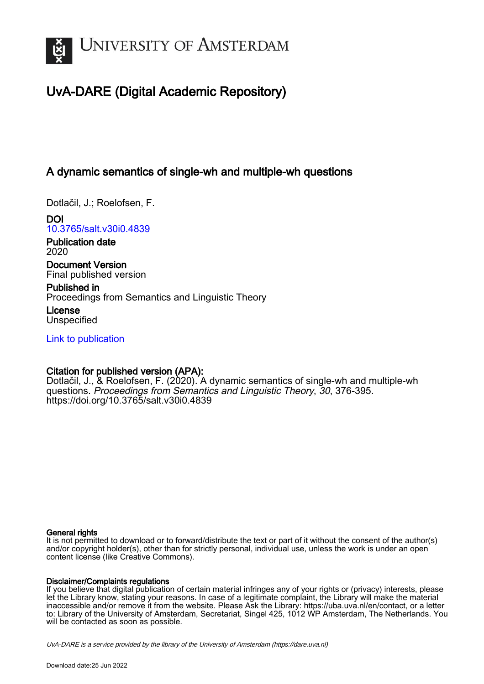

# UvA-DARE (Digital Academic Repository)

## A dynamic semantics of single-wh and multiple-wh questions

Dotlačil, J.; Roelofsen, F.

DOI [10.3765/salt.v30i0.4839](https://doi.org/10.3765/salt.v30i0.4839)

Publication date 2020

Document Version Final published version

Published in Proceedings from Semantics and Linguistic Theory

License Unspecified

[Link to publication](https://dare.uva.nl/personal/pure/en/publications/a-dynamic-semantics-of-singlewh-and-multiplewh-questions(1225b29b-8dfd-4ca7-85ce-9422425837cf).html)

## Citation for published version (APA):

Dotlačil, J., & Roelofsen, F. (2020). A dynamic semantics of single-wh and multiple-wh questions. Proceedings from Semantics and Linguistic Theory, 30, 376-395. <https://doi.org/10.3765/salt.v30i0.4839>

#### General rights

It is not permitted to download or to forward/distribute the text or part of it without the consent of the author(s) and/or copyright holder(s), other than for strictly personal, individual use, unless the work is under an open content license (like Creative Commons).

#### Disclaimer/Complaints regulations

If you believe that digital publication of certain material infringes any of your rights or (privacy) interests, please let the Library know, stating your reasons. In case of a legitimate complaint, the Library will make the material inaccessible and/or remove it from the website. Please Ask the Library: https://uba.uva.nl/en/contact, or a letter to: Library of the University of Amsterdam, Secretariat, Singel 425, 1012 WP Amsterdam, The Netherlands. You will be contacted as soon as possible.

UvA-DARE is a service provided by the library of the University of Amsterdam (http*s*://dare.uva.nl)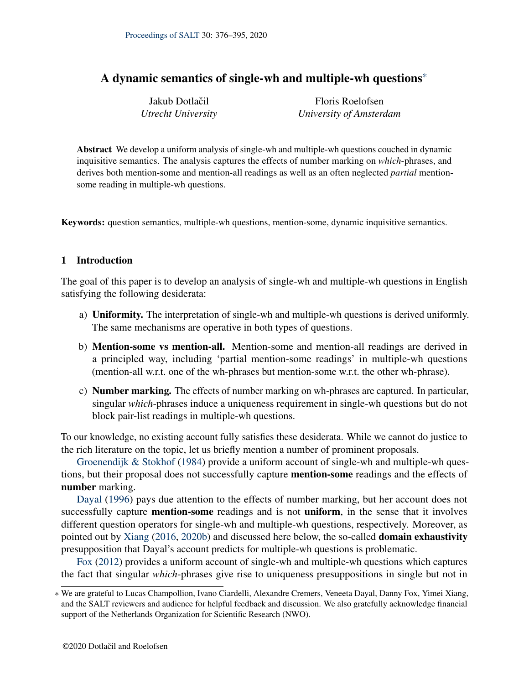| Jakub Dotlačil     | Floris Roelofsen        |
|--------------------|-------------------------|
| Utrecht University | University of Amsterdam |

Abstract We develop a uniform analysis of single-wh and multiple-wh questions couched in dynamic inquisitive semantics. The analysis captures the effects of number marking on *which*-phrases, and derives both mention-some and mention-all readings as well as an often neglected *partial* mentionsome reading in multiple-wh questions.

Keywords: question semantics, multiple-wh questions, mention-some, dynamic inquisitive semantics.

## 1 Introduction

The goal of this paper is to develop an analysis of single-wh and multiple-wh questions in English satisfying the following desiderata:

- a) Uniformity. The interpretation of single-wh and multiple-wh questions is derived uniformly. The same mechanisms are operative in both types of questions.
- b) Mention-some vs mention-all. Mention-some and mention-all readings are derived in a principled way, including 'partial mention-some readings' in multiple-wh questions (mention-all w.r.t. one of the wh-phrases but mention-some w.r.t. the other wh-phrase).
- c) Number marking. The effects of number marking on wh-phrases are captured. In particular, singular *which*-phrases induce a uniqueness requirement in single-wh questions but do not block pair-list readings in multiple-wh questions.

To our knowledge, no existing account fully satisfies these desiderata. While we cannot do justice to the rich literature on the topic, let us briefly mention a number of prominent proposals.

[Groenendijk & Stokhof](#page-19-0) [\(1984\)](#page-19-0) provide a uniform account of single-wh and multiple-wh questions, but their proposal does not successfully capture mention-some readings and the effects of number marking.

[Dayal](#page-19-1) [\(1996\)](#page-19-1) pays due attention to the effects of number marking, but her account does not successfully capture **mention-some** readings and is not **uniform**, in the sense that it involves different question operators for single-wh and multiple-wh questions, respectively. Moreover, as pointed out by [Xiang](#page-20-0) [\(2016,](#page-20-0) [2020b\)](#page-20-1) and discussed here below, the so-called domain exhaustivity presupposition that Dayal's account predicts for multiple-wh questions is problematic.

[Fox](#page-19-2) [\(2012\)](#page-19-2) provides a uniform account of single-wh and multiple-wh questions which captures the fact that singular *which*-phrases give rise to uniqueness presuppositions in single but not in

<sup>\*</sup> We are grateful to Lucas Champollion, Ivano Ciardelli, Alexandre Cremers, Veneeta Dayal, Danny Fox, Yimei Xiang, and the SALT reviewers and audience for helpful feedback and discussion. We also gratefully acknowledge financial support of the Netherlands Organization for Scientific Research (NWO).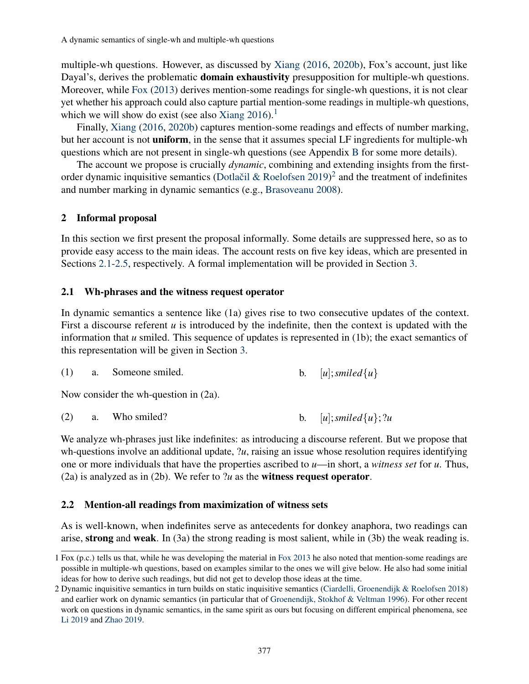multiple-wh questions. However, as discussed by [Xiang](#page-20-0) [\(2016,](#page-20-0) [2020b\)](#page-20-1), Fox's account, just like Dayal's, derives the problematic **domain exhaustivity** presupposition for multiple-wh questions. Moreover, while [Fox](#page-19-3) [\(2013\)](#page-19-3) derives mention-some readings for single-wh questions, it is not clear yet whether his approach could also capture partial mention-some readings in multiple-wh questions, which we will show do exist (see also [Xiang](#page-20-0)  $2016$  $2016$  $2016$ ).<sup>1</sup>

Finally, [Xiang](#page-20-0) [\(2016,](#page-20-0) [2020b\)](#page-20-1) captures mention-some readings and effects of number marking, but her account is not **uniform**, in the sense that it assumes special LF ingredients for multiple-wh questions which are not present in single-wh questions (see Appendix [B](#page-17-0) for some more details).

The account we propose is crucially *dynamic*, combining and extending insights from the firstorder dynamic inquisitive semantics (Dotlačil & Roelofsen  $2019)^2$  $2019)^2$  $2019)^2$  and the treatment of indefinites and number marking in dynamic semantics (e.g., [Brasoveanu](#page-19-5) [2008\)](#page-19-5).

#### 2 Informal proposal

In this section we first present the proposal informally. Some details are suppressed here, so as to provide easy access to the main ideas. The account rests on five key ideas, which are presented in Sections [2.1](#page-2-2)[-2.5,](#page-5-0) respectively. A formal implementation will be provided in Section [3.](#page-6-0)

#### <span id="page-2-2"></span>2.1 Wh-phrases and the witness request operator

In dynamic semantics a sentence like (1a) gives rise to two consecutive updates of the context. First a discourse referent *u* is introduced by the indefinite, then the context is updated with the information that *u* smiled. This sequence of updates is represented in (1b); the exact semantics of this representation will be given in Section [3.](#page-6-0)

| a. Someone smiled. |  | [u]; smiled $\{u\}$ |
|--------------------|--|---------------------|
|--------------------|--|---------------------|

Now consider the wh-question in (2a).

<span id="page-2-3"></span>

| (2)<br>Who smiled? |  | [u]; smiled $\{u\}$ ; ?u |  |  |
|--------------------|--|--------------------------|--|--|
|--------------------|--|--------------------------|--|--|

We analyze wh-phrases just like indefinites: as introducing a discourse referent. But we propose that wh-questions involve an additional update, ?*u*, raising an issue whose resolution requires identifying one or more individuals that have the properties ascribed to *u*—in short, a *witness set* for *u*. Thus, (2a) is analyzed as in (2b). We refer to ?*u* as the witness request operator.

#### <span id="page-2-4"></span>2.2 Mention-all readings from maximization of witness sets

As is well-known, when indefinites serve as antecedents for donkey anaphora, two readings can arise, strong and weak. In (3a) the strong reading is most salient, while in (3b) the weak reading is.

<span id="page-2-0"></span><sup>1</sup> Fox (p.c.) tells us that, while he was developing the material in [Fox](#page-19-3) [2013](#page-19-3) he also noted that mention-some readings are possible in multiple-wh questions, based on examples similar to the ones we will give below. He also had some initial ideas for how to derive such readings, but did not get to develop those ideas at the time.

<span id="page-2-1"></span><sup>2</sup> Dynamic inquisitive semantics in turn builds on static inquisitive semantics [\(Ciardelli, Groenendijk & Roelofsen](#page-19-6) [2018\)](#page-19-6) and earlier work on dynamic semantics (in particular that of [Groenendijk, Stokhof & Veltman](#page-19-7) [1996\)](#page-19-7). For other recent work on questions in dynamic semantics, in the same spirit as ours but focusing on different empirical phenomena, see [Li](#page-20-2) [2019](#page-20-2) and [Zhao](#page-20-3) [2019.](#page-20-3)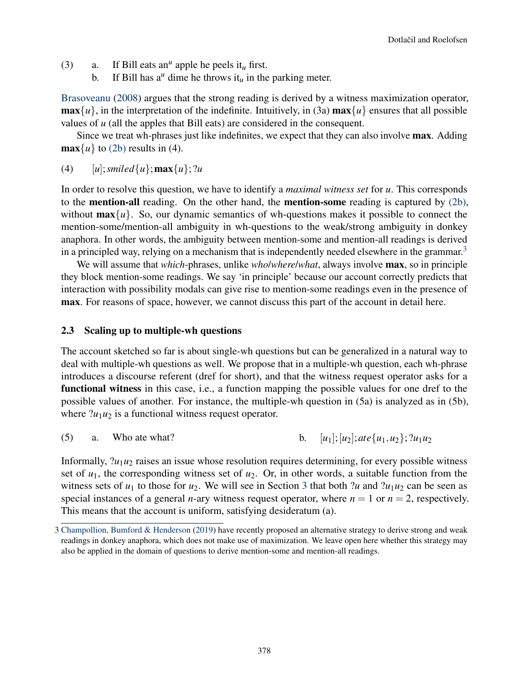- (3) a. If Bill eats an<sup>u</sup> apple he peels it<sub>u</sub> first.
	- b. If Bill has  $a^u$  dime he throws it<sub>u</sub> in the parking meter.

[Brasoveanu](#page-19-5) [\(2008\)](#page-19-5) argues that the strong reading is derived by a witness maximization operator,  $\max\{u\}$ , in the interpretation of the indefinite. Intuitively, in (3a)  $\max\{u\}$  ensures that all possible values of *u* (all the apples that Bill eats) are considered in the consequent.

Since we treat wh-phrases just like indefinites, we expect that they can also involve max. Adding  $\max\{u\}$  to [\(2b\)](#page-2-3) results in (4).

(4)  $[u]$ ; *smiled*{*u*}; **max**{*u*}; ?*u* 

In order to resolve this question, we have to identify a *maximal witness set* for *u*. This corresponds to the mention-all reading. On the other hand, the mention-some reading is captured by [\(2b\),](#page-2-3) without  $\max\{u\}$ . So, our dynamic semantics of wh-questions makes it possible to connect the mention-some/mention-all ambiguity in wh-questions to the weak/strong ambiguity in donkey anaphora. In other words, the ambiguity between mention-some and mention-all readings is derived in a principled way, relying on a mechanism that is independently needed elsewhere in the grammar.<sup>[3](#page-3-0)</sup>

We will assume that *which*-phrases, unlike *who*/*where*/*what*, always involve max, so in principle they block mention-some readings. We say 'in principle' because our account correctly predicts that interaction with possibility modals can give rise to mention-some readings even in the presence of max. For reasons of space, however, we cannot discuss this part of the account in detail here.

#### 2.3 Scaling up to multiple-wh questions

The account sketched so far is about single-wh questions but can be generalized in a natural way to deal with multiple-wh questions as well. We propose that in a multiple-wh question, each wh-phrase introduces a discourse referent (dref for short), and that the witness request operator asks for a functional witness in this case, i.e., a function mapping the possible values for one dref to the possible values of another. For instance, the multiple-wh question in (5a) is analyzed as in (5b), where  $?u_1u_2$  is a functional witness request operator.

(5) a. Who ate what? b. 
$$
[u_1]; [u_2]; \text{ate } \{u_1, u_2\}; 2u_1u_2
$$

Informally,  $2u_1u_2$  raises an issue whose resolution requires determining, for every possible witness set of  $u_1$ , the corresponding witness set of  $u_2$ . Or, in other words, a suitable function from the witness sets of  $u_1$  to those for  $u_2$ . We will see in Section [3](#page-6-0) that both ?*u* and ? $u_1u_2$  can be seen as special instances of a general *n*-ary witness request operator, where  $n = 1$  or  $n = 2$ , respectively. This means that the account is uniform, satisfying desideratum (a).

<span id="page-3-0"></span><sup>3</sup> [Champollion, Bumford & Henderson](#page-19-8) [\(2019\)](#page-19-8) have recently proposed an alternative strategy to derive strong and weak readings in donkey anaphora, which does not make use of maximization. We leave open here whether this strategy may also be applied in the domain of questions to derive mention-some and mention-all readings.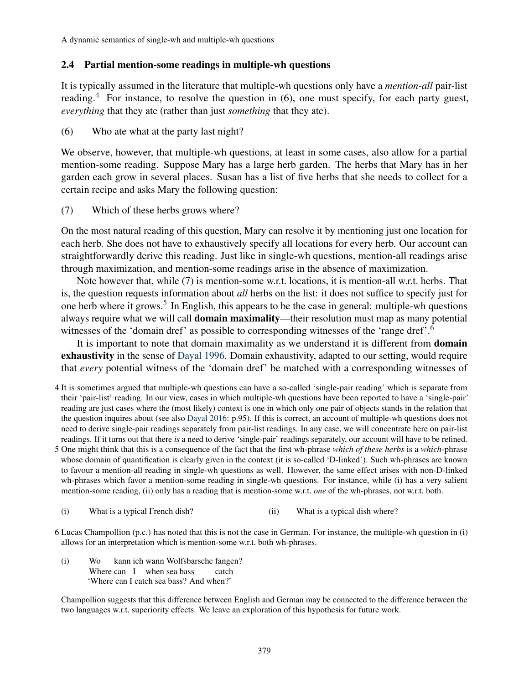#### 2.4 Partial mention-some readings in multiple-wh questions

It is typically assumed in the literature that multiple-wh questions only have a *mention-all* pair-list reading.<sup>[4](#page-4-0)</sup> For instance, to resolve the question in (6), one must specify, for each party guest, *everything* that they ate (rather than just *something* that they ate).

(6) Who ate what at the party last night?

We observe, however, that multiple-wh questions, at least in some cases, also allow for a partial mention-some reading. Suppose Mary has a large herb garden. The herbs that Mary has in her garden each grow in several places. Susan has a list of five herbs that she needs to collect for a certain recipe and asks Mary the following question:

(7) Which of these herbs grows where?

On the most natural reading of this question, Mary can resolve it by mentioning just one location for each herb. She does not have to exhaustively specify all locations for every herb. Our account can straightforwardly derive this reading. Just like in single-wh questions, mention-all readings arise through maximization, and mention-some readings arise in the absence of maximization.

Note however that, while (7) is mention-some w.r.t. locations, it is mention-all w.r.t. herbs. That is, the question requests information about *all* herbs on the list: it does not suffice to specify just for one herb where it grows.<sup>[5](#page-4-1)</sup> In English, this appears to be the case in general: multiple-wh questions always require what we will call domain maximality—their resolution must map as many potential witnesses of the 'domain dref' as possible to corresponding witnesses of the 'range dref'.<sup>[6](#page-4-2)</sup>

It is important to note that domain maximality as we understand it is different from **domain** exhaustivity in the sense of [Dayal](#page-19-1) [1996.](#page-19-1) Domain exhaustivity, adapted to our setting, would require that *every* potential witness of the 'domain dref' be matched with a corresponding witnesses of

<span id="page-4-1"></span>5 One might think that this is a consequence of the fact that the first wh-phrase *which of these herbs* is a *which*-phrase whose domain of quantification is clearly given in the context (it is so-called 'D-linked'). Such wh-phrases are known to favour a mention-all reading in single-wh questions as well. However, the same effect arises with non-D-linked wh-phrases which favor a mention-some reading in single-wh questions. For instance, while (i) has a very salient mention-some reading, (ii) only has a reading that is mention-some w.r.t. *one* of the wh-phrases, not w.r.t. both.

(i) What is a typical French dish? (ii) What is a typical dish where?

<span id="page-4-2"></span>6 Lucas Champollion (p.c.) has noted that this is not the case in German. For instance, the multiple-wh question in (i) allows for an interpretation which is mention-some w.r.t. both wh-phrases.

(i) Wo Where can I when sea bass kann ich wann Wolfsbarsche fangen? catch 'Where can I catch sea bass? And when?'

Champollion suggests that this difference between English and German may be connected to the difference between the two languages w.r.t. superiority effects. We leave an exploration of this hypothesis for future work.

<span id="page-4-0"></span><sup>4</sup> It is sometimes argued that multiple-wh questions can have a so-called 'single-pair reading' which is separate from their 'pair-list' reading. In our view, cases in which multiple-wh questions have been reported to have a 'single-pair' reading are just cases where the (most likely) context is one in which only one pair of objects stands in the relation that the question inquires about (see also [Dayal](#page-19-9) [2016:](#page-19-9) p.95). If this is correct, an account of multiple-wh questions does not need to derive single-pair readings separately from pair-list readings. In any case, we will concentrate here on pair-list readings. If it turns out that there *is* a need to derive 'single-pair' readings separately, our account will have to be refined.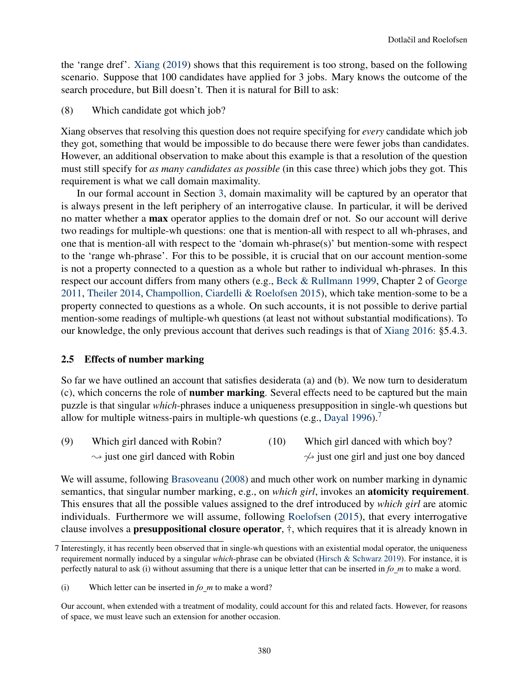the 'range dref'. [Xiang](#page-20-4) [\(2019\)](#page-20-4) shows that this requirement is too strong, based on the following scenario. Suppose that 100 candidates have applied for 3 jobs. Mary knows the outcome of the search procedure, but Bill doesn't. Then it is natural for Bill to ask:

(8) Which candidate got which job?

Xiang observes that resolving this question does not require specifying for *every* candidate which job they got, something that would be impossible to do because there were fewer jobs than candidates. However, an additional observation to make about this example is that a resolution of the question must still specify for *as many candidates as possible* (in this case three) which jobs they got. This requirement is what we call domain maximality.

In our formal account in Section [3,](#page-6-0) domain maximality will be captured by an operator that is always present in the left periphery of an interrogative clause. In particular, it will be derived no matter whether a max operator applies to the domain dref or not. So our account will derive two readings for multiple-wh questions: one that is mention-all with respect to all wh-phrases, and one that is mention-all with respect to the 'domain wh-phrase(s)' but mention-some with respect to the 'range wh-phrase'. For this to be possible, it is crucial that on our account mention-some is not a property connected to a question as a whole but rather to individual wh-phrases. In this respect our account differs from many others (e.g., [Beck & Rullmann](#page-19-10) [1999,](#page-19-10) Chapter 2 of [George](#page-19-11) [2011,](#page-19-11) [Theiler](#page-20-5) [2014,](#page-20-5) [Champollion, Ciardelli & Roelofsen](#page-19-12) [2015\)](#page-19-12), which take mention-some to be a property connected to questions as a whole. On such accounts, it is not possible to derive partial mention-some readings of multiple-wh questions (at least not without substantial modifications). To our knowledge, the only previous account that derives such readings is that of [Xiang](#page-20-0) [2016:](#page-20-0) §5.4.3.

#### <span id="page-5-0"></span>2.5 Effects of number marking

So far we have outlined an account that satisfies desiderata (a) and (b). We now turn to desideratum (c), which concerns the role of number marking. Several effects need to be captured but the main puzzle is that singular *which*-phrases induce a uniqueness presupposition in single-wh questions but allow for multiple witness-pairs in multiple-wh questions (e.g., [Dayal](#page-19-1) [1996\)](#page-19-1).<sup>[7](#page-5-1)</sup>

<span id="page-5-2"></span>(9) Which girl danced with Robin?  $\rightsquigarrow$  just one girl danced with Robin (10) Which girl danced with which boy?  $\rightsquigarrow$  just one girl and just one boy danced

We will assume, following [Brasoveanu](#page-19-5) [\(2008\)](#page-19-5) and much other work on number marking in dynamic semantics, that singular number marking, e.g., on *which girl*, invokes an atomicity requirement. This ensures that all the possible values assigned to the dref introduced by *which girl* are atomic individuals. Furthermore we will assume, following [Roelofsen](#page-20-6) [\(2015\)](#page-20-6), that every interrogative clause involves a presuppositional closure operator, †, which requires that it is already known in

<span id="page-5-1"></span><sup>7</sup> Interestingly, it has recently been observed that in single-wh questions with an existential modal operator, the uniqueness requirement normally induced by a singular *which*-phrase can be obviated [\(Hirsch & Schwarz](#page-19-13) [2019\)](#page-19-13). For instance, it is perfectly natural to ask (i) without assuming that there is a unique letter that can be inserted in *fo m* to make a word.

<sup>(</sup>i) Which letter can be inserted in *fo m* to make a word?

Our account, when extended with a treatment of modality, could account for this and related facts. However, for reasons of space, we must leave such an extension for another occasion.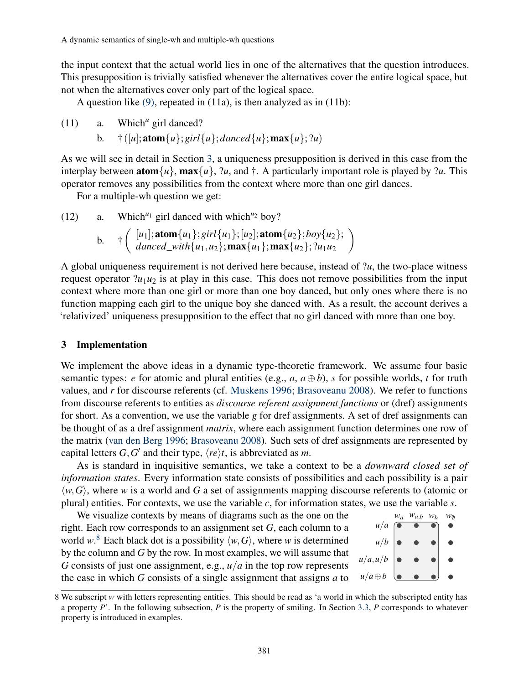the input context that the actual world lies in one of the alternatives that the question introduces. This presupposition is trivially satisfied whenever the alternatives cover the entire logical space, but not when the alternatives cover only part of the logical space.

A question like [\(9\),](#page-5-2) repeated in (11a), is then analyzed as in (11b):

(11) a. Which*<sup>u</sup>* girl danced?

b.  $\uparrow$  ([*u*]; **atom**{*u*}; *girl*{*u*}; *danced*{*u*}; **max**{*u*}; ?*u*)

As we will see in detail in Section [3,](#page-6-0) a uniqueness presupposition is derived in this case from the interplay between  $\text{atom}\lbrace u \rbrace$ ,  $\max\lbrace u \rbrace$ ,  $\lbrace u, \text{ and } \dagger$ . A particularly important role is played by  $\lbrace u, \text{ This} \rbrace$ operator removes any possibilities from the context where more than one girl dances.

For a multiple-wh question we get:

(12) a. Which<sup> $u_1$ </sup> girl danced with which<sup> $u_2$ </sup> boy?

b. 
$$
\qquad \qquad \dagger \left( \begin{array}{c} [u_1]; \operatorname{atom}\{u_1\}; \operatorname{girl}\{u_1\}; [u_2]; \operatorname{atom}\{u_2\}; \text{boy}\{u_2\}; \\ \text{danced\_with}\{u_1, u_2\}; \operatorname{max}\{u_1\}; \operatorname{max}\{u_2\}; \text{?}u_1u_2 \end{array} \right)
$$

A global uniqueness requirement is not derived here because, instead of ?*u*, the two-place witness request operator  $?u_1u_2$  is at play in this case. This does not remove possibilities from the input context where more than one girl or more than one boy danced, but only ones where there is no function mapping each girl to the unique boy she danced with. As a result, the account derives a 'relativized' uniqueness presupposition to the effect that no girl danced with more than one boy.

#### <span id="page-6-0"></span>3 Implementation

We implement the above ideas in a dynamic type-theoretic framework. We assume four basic semantic types: *e* for atomic and plural entities (e.g.,  $a$ ,  $a \oplus b$ ), *s* for possible worlds, *t* for truth values, and *r* for discourse referents (cf. [Muskens](#page-20-7) [1996;](#page-20-7) [Brasoveanu](#page-19-5) [2008\)](#page-19-5). We refer to functions from discourse referents to entities as *discourse referent assignment functions* or (dref) assignments for short. As a convention, we use the variable *g* for dref assignments. A set of dref assignments can be thought of as a dref assignment *matrix*, where each assignment function determines one row of the matrix [\(van den Berg](#page-19-14) [1996;](#page-19-14) [Brasoveanu](#page-19-5) [2008\)](#page-19-5). Such sets of dref assignments are represented by capital letters  $G, G'$  and their type,  $\langle re \rangle t$ , is abbreviated as *m*.

As is standard in inquisitive semantics, we take a context to be a *downward closed set of information states*. Every information state consists of possibilities and each possibility is a pair  $\langle w, G \rangle$ , where *w* is a world and *G* a set of assignments mapping discourse referents to (atomic or plural) entities. For contexts, we use the variable *c*, for information states, we use the variable *s*.

We visualize contexts by means of diagrams such as the one on the right. Each row corresponds to an assignment set *G*, each column to a world  $w^8$  $w^8$ . Each black dot is a possibility  $\langle w, G \rangle$ , where *w* is determined by the column and *G* by the row. In most examples, we will assume that *G* consists of just one assignment, e.g., *u*/*a* in the top row represents the case in which *G* consists of a single assignment that assigns *a* to



<span id="page-6-1"></span><sup>8</sup> We subscript *w* with letters representing entities. This should be read as 'a world in which the subscripted entity has a property *P*'. In the following subsection, *P* is the property of smiling. In Section [3.3,](#page-12-0) *P* corresponds to whatever property is introduced in examples.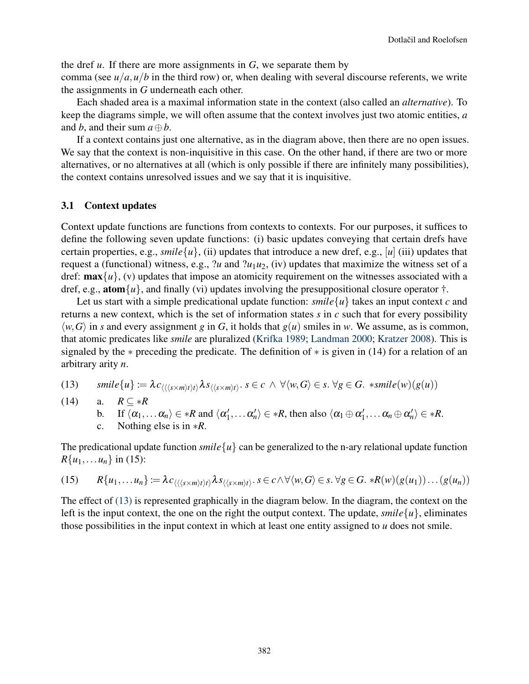the dref *u*. If there are more assignments in *G*, we separate them by

comma (see  $u/a$ ,  $u/b$  in the third row) or, when dealing with several discourse referents, we write the assignments in *G* underneath each other.

Each shaded area is a maximal information state in the context (also called an *alternative*). To keep the diagrams simple, we will often assume that the context involves just two atomic entities, *a* and *b*, and their sum *a*⊕*b*.

If a context contains just one alternative, as in the diagram above, then there are no open issues. We say that the context is non-inquisitive in this case. On the other hand, if there are two or more alternatives, or no alternatives at all (which is only possible if there are infinitely many possibilities), the context contains unresolved issues and we say that it is inquisitive.

#### 3.1 Context updates

Context update functions are functions from contexts to contexts. For our purposes, it suffices to define the following seven update functions: (i) basic updates conveying that certain drefs have certain properties, e.g., *smile* $\{u\}$ , (ii) updates that introduce a new dref, e.g., [*u*] (iii) updates that request a (functional) witness, e.g.,  $?u$  and  $?u_1u_2$ , (iv) updates that maximize the witness set of a dref:  $\max\{u\}$ , (v) updates that impose an atomicity requirement on the witnesses associated with a dref, e.g., **atom** $\{u\}$ , and finally (vi) updates involving the presuppositional closure operator  $\dagger$ .

Let us start with a simple predicational update function:  $\textit{smile}\{u\}$  takes an input context *c* and returns a new context, which is the set of information states *s* in *c* such that for every possibility  $\langle w, G \rangle$  in *s* and every assignment *g* in *G*, it holds that  $g(u)$  smiles in *w*. We assume, as is common, that atomic predicates like *smile* are pluralized [\(Krifka](#page-19-15) [1989;](#page-19-15) [Landman](#page-19-16) [2000;](#page-19-16) [Kratzer](#page-19-17) [2008\)](#page-19-17). This is signaled by the ∗ preceding the predicate. The definition of ∗ is given in (14) for a relation of an arbitrary arity *n*.

<span id="page-7-0"></span>(13) 
$$
smile\{u\} := \lambda c_{\langle\langle\langle s\times m\rangle t\rangle t\rangle}\lambda s_{\langle\langle s\times m\rangle t\rangle}. s \in c \ \land \ \forall\langle w, G\rangle \in s. \ \forall g \in G. \ \ *smile(w)(g(u))
$$

(14) a.  $R \subseteq *R$ 

b. If  $\langle \alpha_1,\ldots \alpha_n \rangle \in *R$  and  $\langle \alpha'_1 \rangle$  $\langle \alpha'_1, \ldots \alpha'_n \rangle \in *R$ , then also  $\langle \alpha_1 \oplus \alpha'_1 \rangle$  $\langle 1', \ldots \alpha_n \oplus \alpha'_n \rangle \in *R.$ 

c. Nothing else is in 
$$
*R
$$
.

The predicational update function *smile*  $\{u\}$  can be generalized to the n-ary relational update function  $R{u_1,...u_n}$  in (15):

$$
(15) \qquad R\{u_1,\ldots u_n\} := \lambda c_{\langle\langle\langle s\times m\rangle t\rangle t\rangle} \lambda s_{\langle\langle s\times m\rangle t\rangle}. \quad s \in c \wedge \forall \langle w, G \rangle \in s. \ \forall g \in G. \ \ast R(w)(g(u_1))\ldots(g(u_n))
$$

The effect of [\(13\)](#page-7-0) is represented graphically in the diagram below. In the diagram, the context on the left is the input context, the one on the right the output context. The update, *smile* $\{u\}$ , eliminates those possibilities in the input context in which at least one entity assigned to *u* does not smile.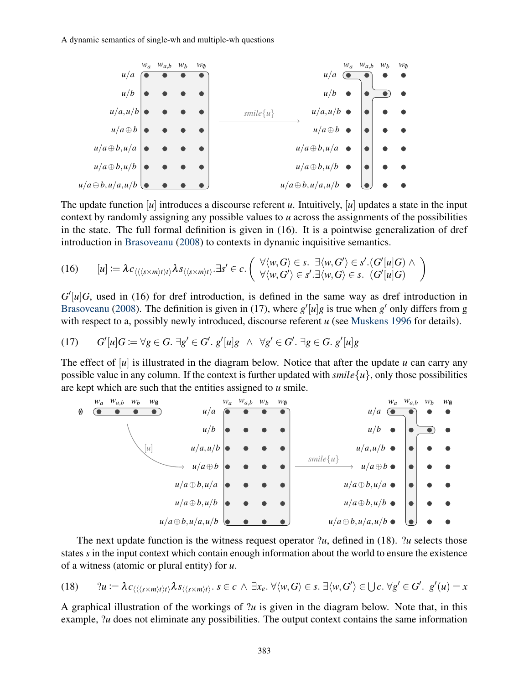

The update function [*u*] introduces a discourse referent *u*. Intuitively, [*u*] updates a state in the input context by randomly assigning any possible values to *u* across the assignments of the possibilities in the state. The full formal definition is given in (16). It is a pointwise generalization of dref introduction in [Brasoveanu](#page-19-5) [\(2008\)](#page-19-5) to contexts in dynamic inquisitive semantics.

$$
(16) \qquad [u] \coloneqq \lambda c_{\langle\langle\langle s \times m\rangle t\rangle} \lambda s_{\langle\langle s \times m\rangle t\rangle} \cdot \exists s' \in c. \left( \begin{array}{c} \forall \langle w, G \rangle \in s. \ \exists \langle w, G' \rangle \in s'. (G'[u]G) \land \\ \forall \langle w, G' \rangle \in s'. \exists \langle w, G \rangle \in s. \ (G'[u]G) \end{array} \right)
$$

 $G'[u]G$ , used in (16) for dref introduction, is defined in the same way as dref introduction in [Brasoveanu](#page-19-5) [\(2008\)](#page-19-5). The definition is given in (17), where  $g'[u]g$  is true when  $g'$  only differs from g with respect to a, possibly newly introduced, discourse referent *u* (see [Muskens](#page-20-7) [1996](#page-20-7) for details).

$$
(17) \qquad G'[u]G \coloneqq \forall g \in G. \; \exists g' \in G'. \; g'[u]g \;\wedge\;\forall g' \in G'. \; \exists g \in G. \; g'[u]g
$$

The effect of [*u*] is illustrated in the diagram below. Notice that after the update *u* can carry any possible value in any column. If the context is further updated with  $smile{u}$ , only those possibilities are kept which are such that the entities assigned to *u* smile.



The next update function is the witness request operator ?*u*, defined in (18). ?*u* selects those states *s* in the input context which contain enough information about the world to ensure the existence of a witness (atomic or plural entity) for *u*.

$$
(18) \qquad ?u := \lambda c_{\langle\langle\langle s\times m\rangle t\rangle t\rangle} \lambda s_{\langle\langle s\times m\rangle t\rangle}. \ s \in c \ \land \ \exists x_e. \ \forall \langle w, G \rangle \in s. \ \exists \langle w, G' \rangle \in \bigcup c. \ \forall g' \in G'. \ \ g'(u) = x
$$

A graphical illustration of the workings of ?*u* is given in the diagram below. Note that, in this example, *?u* does not eliminate any possibilities. The output context contains the same information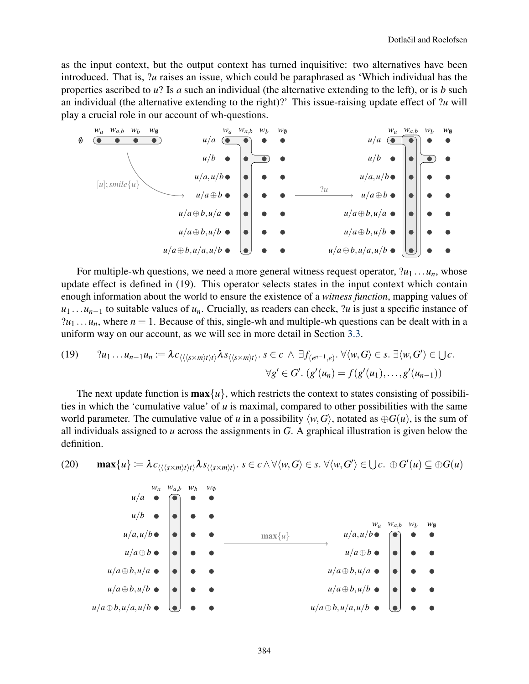as the input context, but the output context has turned inquisitive: two alternatives have been introduced. That is, ?*u* raises an issue, which could be paraphrased as 'Which individual has the properties ascribed to *u*? Is *a* such an individual (the alternative extending to the left), or is *b* such an individual (the alternative extending to the right)?' This issue-raising update effect of ?*u* will play a crucial role in our account of wh-questions.



For multiple-wh questions, we need a more general witness request operator,  $?u_1 \ldots u_n$ , whose update effect is defined in (19). This operator selects states in the input context which contain enough information about the world to ensure the existence of a *witness function*, mapping values of *u*<sub>1</sub> ...*u*<sub>*n*−1</sub> to suitable values of *u*<sub>*n*</sub>. Crucially, as readers can check, ?*u* is just a specific instance of  $?u_1 \ldots u_n$ , where  $n = 1$ . Because of this, single-wh and multiple-wh questions can be dealt with in a uniform way on our account, as we will see in more detail in Section [3.3.](#page-12-0)

(19) 
$$
?u_1 \dots u_{n-1}u_n \coloneqq \lambda c_{\langle\langle\langle s \times m\rangle t\rangle t\rangle} \lambda s_{\langle\langle s \times m\rangle t\rangle}. s \in c \ \land \ \exists f_{(e^{n-1},e)} \cdot \forall \langle w, G \rangle \in s. \ \exists \langle w, G' \rangle \in \bigcup c.
$$

$$
\forall g' \in G'. \ (g'(u_n) = f(g'(u_1), \dots, g'(u_{n-1}))
$$

The next update function is  $\max\{u\}$ , which restricts the context to states consisting of possibilities in which the 'cumulative value' of *u* is maximal, compared to other possibilities with the same world parameter. The cumulative value of *u* in a possibility  $\langle w, G \rangle$ , notated as  $\oplus G(u)$ , is the sum of all individuals assigned to *u* across the assignments in *G*. A graphical illustration is given below the definition.

<span id="page-9-0"></span>(20) 
$$
\max\{u\} := \lambda c_{\langle (\langle s \times m \rangle t \rangle t \rangle} \lambda s_{\langle \langle s \times m \rangle t \rangle}. \quad s \in c \land \forall \langle w, G \rangle \in s. \ \forall \langle w, G' \rangle \in \bigcup c. \ \oplus G'(u) \subseteq \oplus G(u)
$$

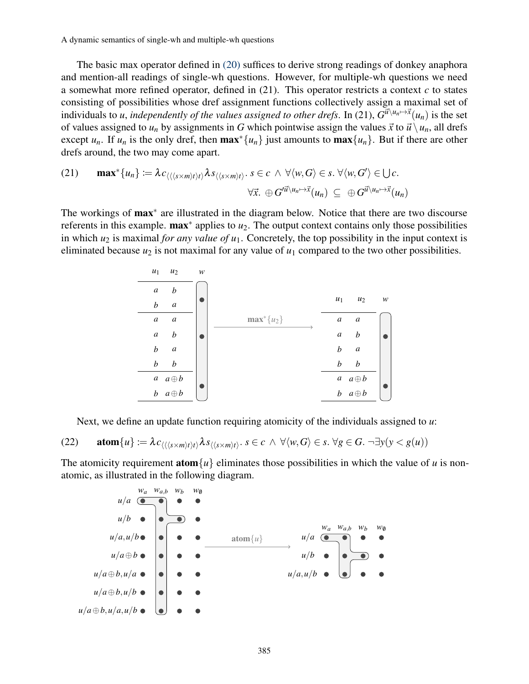The basic max operator defined in [\(20\)](#page-9-0) suffices to derive strong readings of donkey anaphora and mention-all readings of single-wh questions. However, for multiple-wh questions we need a somewhat more refined operator, defined in (21). This operator restricts a context *c* to states consisting of possibilities whose dref assignment functions collectively assign a maximal set of individuals to *u*, *independently of the values assigned to other drefs*. In (21),  $G^{\vec{u}\setminus u_n \mapsto \vec{x}}(u_n)$  is the set of values assigned to  $u_n$  by assignments in *G* which pointwise assign the values  $\vec{x}$  to  $\vec{u} \setminus u_n$ , all drefs except  $u_n$ . If  $u_n$  is the only dref, then  $\max^* \{u_n\}$  just amounts to  $\max \{u_n\}$ . But if there are other drefs around, the two may come apart.

(21) 
$$
\max^* \{u_n\} := \lambda c_{\langle\langle s \times m \rangle t \rangle} \lambda s_{\langle\langle s \times m \rangle t \rangle}. s \in c \ \wedge \ \forall \langle w, G \rangle \in s. \ \forall \langle w, G' \rangle \in \bigcup c.
$$

$$
\forall \vec{x}. \ \oplus G'^{\vec{u} \setminus u_n \mapsto \vec{x}}(u_n) \subseteq \oplus G^{\vec{u} \setminus u_n \mapsto \vec{x}}(u_n)
$$

The workings of max<sup>\*</sup> are illustrated in the diagram below. Notice that there are two discourse referents in this example. **max**<sup>∗</sup> applies to *u*<sub>2</sub>. The output context contains only those possibilities in which  $u_2$  is maximal *for any value of*  $u_1$ . Concretely, the top possibility in the input context is eliminated because  $u_2$  is not maximal for any value of  $u_1$  compared to the two other possibilities.



Next, we define an update function requiring atomicity of the individuals assigned to *u*:

(22) **atom**{*u*} := 
$$
\lambda c_{\langle\langle\langle s\times m\rangle t\rangle t\rangle} \lambda s_{\langle\langle s\times m\rangle t\rangle}
$$
.  $s \in c \land \forall \langle w, G \rangle \in s$ .  $\forall g \in G$ .  $\neg \exists y(y < g(u))$ 

The atomicity requirement **atom** $\{u\}$  eliminates those possibilities in which the value of *u* is nonatomic, as illustrated in the following diagram.

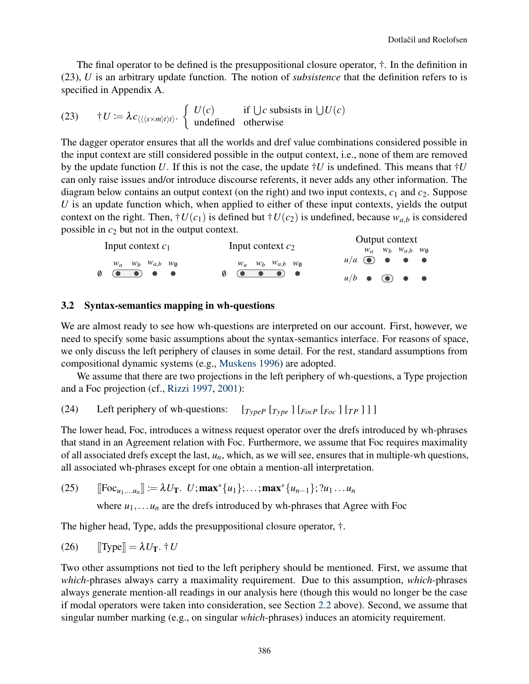The final operator to be defined is the presuppositional closure operator, †. In the definition in (23), *U* is an arbitrary update function. The notion of *subsistence* that the definition refers to is specified in Appendix A.

(23) 
$$
\dagger U := \lambda c_{\langle \langle \langle s \times m \rangle t \rangle t \rangle} \begin{cases} U(c) & \text{if } \bigcup c \text{ subsists in } \bigcup U(c) \\ \text{undefined} & \text{otherwise} \end{cases}
$$

The dagger operator ensures that all the worlds and dref value combinations considered possible in the input context are still considered possible in the output context, i.e., none of them are removed by the update function U. If this is not the case, the update  $\dagger U$  is undefined. This means that  $\dagger U$ can only raise issues and/or introduce discourse referents, it never adds any other information. The diagram below contains an output context (on the right) and two input contexts,  $c_1$  and  $c_2$ . Suppose *U* is an update function which, when applied to either of these input contexts, yields the output context on the right. Then,  $\dagger U(c_1)$  is defined but  $\dagger U(c_2)$  is undefined, because  $w_{a,b}$  is considered possible in  $c_2$  but not in the output context.  $Q$ utput context

|                                                                                                                                                  |                                                         | Output context                                |
|--------------------------------------------------------------------------------------------------------------------------------------------------|---------------------------------------------------------|-----------------------------------------------|
| Input context $c_1$                                                                                                                              | Input context $c_2$                                     | $W_a$ $W_b$ $W_{a,b}$ $W_{\emptyset}$         |
| $W_a$ $W_b$ $W_{a,b}$ $W_{\emptyset}$                                                                                                            | $W_a$ $W_b$ $W_{a,b}$ $W_{\emptyset}$                   | $u/a$ $\bullet$ $\bullet$ $\bullet$           |
| $\begin{array}{ccc} \text{\large(0)} & \text{\large(0)} & \text{\large(0)} & \text{\large(0)} & \text{\large(0)} & \text{\large(0)} \end{array}$ | $\emptyset$ ( $\bullet$ $\bullet$ $\bullet$ ) $\bullet$ | $u/b$ $\bullet$ $\bullet$ $\bullet$ $\bullet$ |

#### 3.2 Syntax-semantics mapping in wh-questions

We are almost ready to see how wh-questions are interpreted on our account. First, however, we need to specify some basic assumptions about the syntax-semantics interface. For reasons of space, we only discuss the left periphery of clauses in some detail. For the rest, standard assumptions from compositional dynamic systems (e.g., [Muskens](#page-20-7) [1996\)](#page-20-7) are adopted.

We assume that there are two projections in the left periphery of wh-questions, a Type projection and a Foc projection (cf., [Rizzi](#page-20-8) [1997,](#page-20-8) [2001\)](#page-20-9):

(24) Left periphery of wh-questions: 
$$
[T_{\text{type}} \, T_{\text{type}} \,] \, [F_{\text{oc}} \,] \, [F_{\text{pc}} \,] \,] \,]
$$

The lower head, Foc, introduces a witness request operator over the drefs introduced by wh-phrases that stand in an Agreement relation with Foc. Furthermore, we assume that Foc requires maximality of all associated drefs except the last, *un*, which, as we will see, ensures that in multiple-wh questions, all associated wh-phrases except for one obtain a mention-all interpretation.

(25) 
$$
[[\text{Foc}_{u_1,...u_n}]] := \lambda U_T. U; \text{max}^*\{u_1\};...;\text{max}^*\{u_{n-1}\};?u_1...u_n
$$

where  $u_1, \ldots, u_n$  are the drefs introduced by wh-phrases that Agree with Foc

The higher head, Type, adds the presuppositional closure operator, †.

$$
(26) \qquad \text{[Type]} = \lambda U_T. \dagger U
$$

Two other assumptions not tied to the left periphery should be mentioned. First, we assume that *which*-phrases always carry a maximality requirement. Due to this assumption, *which*-phrases always generate mention-all readings in our analysis here (though this would no longer be the case if modal operators were taken into consideration, see Section [2.2](#page-2-4) above). Second, we assume that singular number marking (e.g., on singular *which*-phrases) induces an atomicity requirement.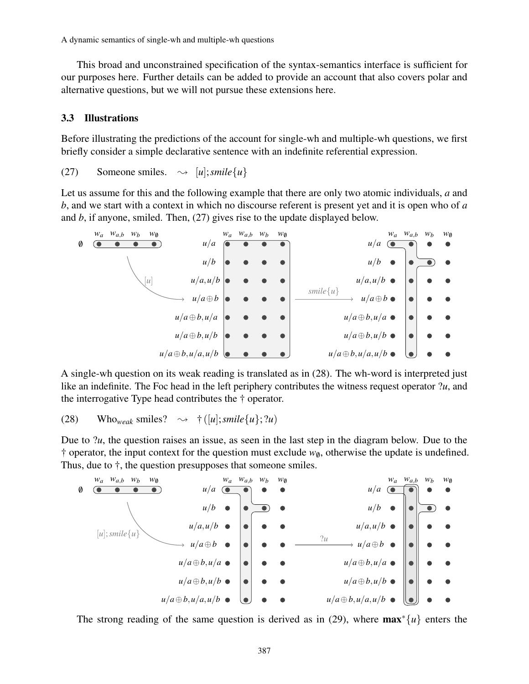This broad and unconstrained specification of the syntax-semantics interface is sufficient for our purposes here. Further details can be added to provide an account that also covers polar and alternative questions, but we will not pursue these extensions here.

#### <span id="page-12-0"></span>3.3 Illustrations

Before illustrating the predictions of the account for single-wh and multiple-wh questions, we first briefly consider a simple declarative sentence with an indefinite referential expression.

(27) Someone smiles.  $\rightsquigarrow$  [*u*]; *smile*{*u*}

Let us assume for this and the following example that there are only two atomic individuals, *a* and *b*, and we start with a context in which no discourse referent is present yet and it is open who of *a* and *b*, if anyone, smiled. Then, (27) gives rise to the update displayed below.



A single-wh question on its weak reading is translated as in (28). The wh-word is interpreted just like an indefinite. The Foc head in the left periphery contributes the witness request operator ?*u*, and the interrogative Type head contributes the † operator.

(28) Who<sub>weak</sub> smiles? 
$$
\rightarrow
$$
 †([u];*smile*{u};?u)

Due to ?*u*, the question raises an issue, as seen in the last step in the diagram below. Due to the <sup> $\dagger$ </sup> operator, the input context for the question must exclude  $w_{\emptyset}$ , otherwise the update is undefined. Thus, due to †, the question presupposes that someone smiles.



The strong reading of the same question is derived as in (29), where max∗{*u*} enters the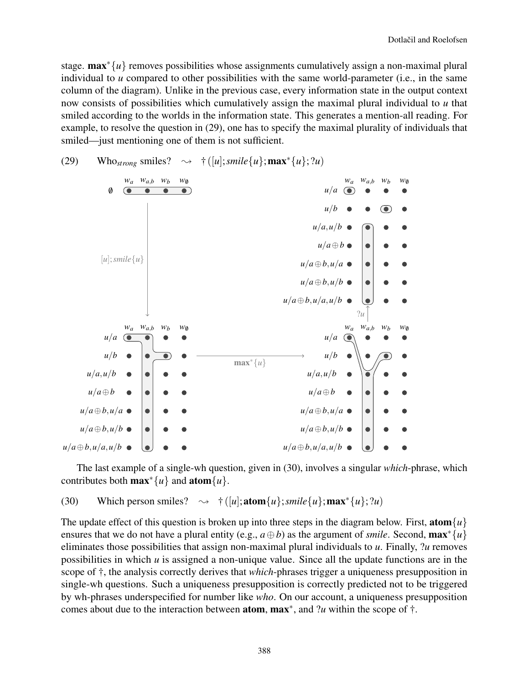stage. **max**<sup>∗</sup>{*u*} removes possibilities whose assignments cumulatively assign a non-maximal plural individual to *u* compared to other possibilities with the same world-parameter (i.e., in the same column of the diagram). Unlike in the previous case, every information state in the output context now consists of possibilities which cumulatively assign the maximal plural individual to *u* that smiled according to the worlds in the information state. This generates a mention-all reading. For example, to resolve the question in (29), one has to specify the maximal plurality of individuals that smiled—just mentioning one of them is not sufficient.



(29) Who<sub>strong</sub> smiles?  $\rightarrow$   $\uparrow$  ([*u*]; *smile*{*u*}; **max**<sup>\*</sup>{*u*}; ?*u*)

The last example of a single-wh question, given in (30), involves a singular *which*-phrase, which contributes both  $\max^* \{u\}$  and  $\text{atom}\{u\}$ .

(30) Which person smiles?  $\rightarrow$   $\uparrow$  ([*u*]; **atom**{*u*}; *smile*{*u*}; **max**<sup>\*</sup>{*u*}; ?*u*)

The update effect of this question is broken up into three steps in the diagram below. First,  $\text{atom}\lbrace u \rbrace$ ensures that we do not have a plural entity (e.g.,  $a \oplus b$ ) as the argument of *smile*. Second,  $\max^* \{u\}$ eliminates those possibilities that assign non-maximal plural individuals to *u*. Finally, ?*u* removes possibilities in which *u* is assigned a non-unique value. Since all the update functions are in the scope of †, the analysis correctly derives that *which*-phrases trigger a uniqueness presupposition in single-wh questions. Such a uniqueness presupposition is correctly predicted not to be triggered by wh-phrases underspecified for number like *who*. On our account, a uniqueness presupposition comes about due to the interaction between **atom**,  $\text{max}^*$ , and ?*u* within the scope of  $\dagger$ .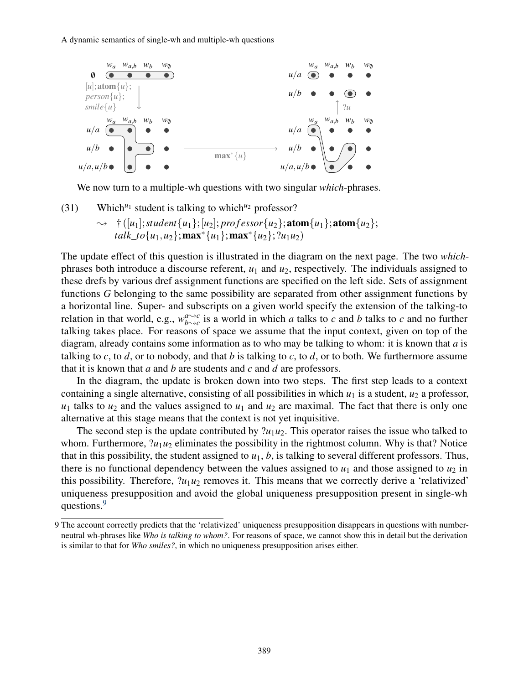

We now turn to a multiple-wh questions with two singular *which*-phrases.

(31) Which<sup> $u_1$ </sup> student is talking to which<sup> $u_2$ </sup> professor?  $\rightarrow$  †([*u*<sub>1</sub>]; *student*{*u*<sub>1</sub>}; [*u*<sub>2</sub>]; *professor*{*u*<sub>2</sub>}; **atom**{*u*<sub>1</sub>}; **atom**{*u*<sub>2</sub>}; *talk to*{*u*<sub>1</sub>,*u*<sub>2</sub>};max<sup>\*{</sup>*u*<sub>1</sub>};max<sup>\*</sup>{*u*<sub>2</sub>}; ?*u*<sub>1</sub>*u*<sub>2</sub>)

The update effect of this question is illustrated in the diagram on the next page. The two *which*phrases both introduce a discourse referent,  $u_1$  and  $u_2$ , respectively. The individuals assigned to these drefs by various dref assignment functions are specified on the left side. Sets of assignment functions *G* belonging to the same possibility are separated from other assignment functions by a horizontal line. Super- and subscripts on a given world specify the extension of the talking-to relation in that world, e.g.,  $w_{b \rightarrow c}^{a \rightarrow c}$  $\int_{b \to c}^{a \to c}$  is a world in which *a* talks to *c* and *b* talks to *c* and no further talking takes place. For reasons of space we assume that the input context, given on top of the diagram, already contains some information as to who may be talking to whom: it is known that *a* is talking to *c*, to *d*, or to nobody, and that *b* is talking to *c*, to *d*, or to both. We furthermore assume that it is known that *a* and *b* are students and *c* and *d* are professors.

In the diagram, the update is broken down into two steps. The first step leads to a context containing a single alternative, consisting of all possibilities in which  $u_1$  is a student,  $u_2$  a professor,  $u_1$  talks to  $u_2$  and the values assigned to  $u_1$  and  $u_2$  are maximal. The fact that there is only one alternative at this stage means that the context is not yet inquisitive.

The second step is the update contributed by  $2u_1u_2$ . This operator raises the issue who talked to whom. Furthermore,  $?u_1u_2$  eliminates the possibility in the rightmost column. Why is that? Notice that in this possibility, the student assigned to  $u_1$ ,  $b$ , is talking to several different professors. Thus, there is no functional dependency between the values assigned to  $u_1$  and those assigned to  $u_2$  in this possibility. Therefore,  $2u_1u_2$  removes it. This means that we correctly derive a 'relativized' uniqueness presupposition and avoid the global uniqueness presupposition present in single-wh questions.<sup>[9](#page-14-0)</sup>

<span id="page-14-0"></span><sup>9</sup> The account correctly predicts that the 'relativized' uniqueness presupposition disappears in questions with numberneutral wh-phrases like *Who is talking to whom?*. For reasons of space, we cannot show this in detail but the derivation is similar to that for *Who smiles?*, in which no uniqueness presupposition arises either.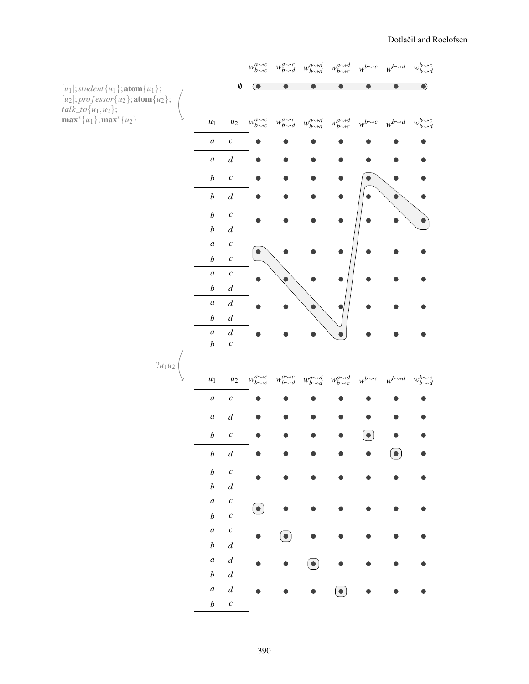|                                                                                                                            |                    |                                      | $w^{a \leadsto c}_{b \leadsto c}$ |                                   | $w_{b \leadsto d}^{a \leadsto c} \quad w_{b \leadsto d}^{a \leadsto d}$                                                                                                                                                                                                                                                                                                                            | $w_{b\leadsto c}^{a\leadsto d}$         | $w^{b\leadsto c}$ | $w^{b \leadsto d}$                  | $w_{b \leadsto d}^{b \leadsto c}$ |
|----------------------------------------------------------------------------------------------------------------------------|--------------------|--------------------------------------|-----------------------------------|-----------------------------------|----------------------------------------------------------------------------------------------------------------------------------------------------------------------------------------------------------------------------------------------------------------------------------------------------------------------------------------------------------------------------------------------------|-----------------------------------------|-------------------|-------------------------------------|-----------------------------------|
| $[u_1];$ student $\{u_1\};$ <b>atom</b> $\{u_1\};$                                                                         |                    | $\emptyset$                          |                                   |                                   |                                                                                                                                                                                                                                                                                                                                                                                                    |                                         |                   |                                     | $\bullet$                         |
| [u <sub>2</sub> ]; professor{u <sub>2</sub> }; <b>atom</b> {u <sub>2</sub> };<br>talk_to{u <sub>1</sub> ,u <sub>2</sub> }; |                    |                                      |                                   |                                   |                                                                                                                                                                                                                                                                                                                                                                                                    |                                         |                   |                                     |                                   |
| $\max^* \{u_1\}$ ; $\max^* \{u_2\}$                                                                                        | $\boldsymbol{u}_1$ | $\boldsymbol{u}_2$                   | $w^{a \leadsto c}_{b \leadsto c}$ | $w_{b \leadsto d}^{a \leadsto c}$ | $w_{b\sim d}^{a\sim d}$                                                                                                                                                                                                                                                                                                                                                                            | $w_{b \rightarrow c}^{a \rightarrow d}$ |                   | $w^{b\leadsto c}$ $w^{b\leadsto d}$ | $w^{b\leadsto c}_{b\leadsto d}$   |
|                                                                                                                            | $\boldsymbol{a}$   | $\boldsymbol{c}$                     |                                   |                                   |                                                                                                                                                                                                                                                                                                                                                                                                    |                                         |                   |                                     |                                   |
|                                                                                                                            | $\boldsymbol{a}$   | $\boldsymbol{d}$                     |                                   |                                   |                                                                                                                                                                                                                                                                                                                                                                                                    |                                         |                   |                                     |                                   |
|                                                                                                                            | $\boldsymbol{b}$   | $\boldsymbol{c}$                     |                                   |                                   |                                                                                                                                                                                                                                                                                                                                                                                                    |                                         |                   |                                     |                                   |
|                                                                                                                            | $\boldsymbol{b}$   | $\boldsymbol{d}$                     |                                   |                                   |                                                                                                                                                                                                                                                                                                                                                                                                    |                                         |                   |                                     |                                   |
|                                                                                                                            | $\boldsymbol{b}$   | $\boldsymbol{c}$                     |                                   |                                   |                                                                                                                                                                                                                                                                                                                                                                                                    |                                         |                   |                                     |                                   |
|                                                                                                                            | $\boldsymbol{b}$   | $\boldsymbol{d}$                     |                                   |                                   |                                                                                                                                                                                                                                                                                                                                                                                                    |                                         |                   |                                     |                                   |
|                                                                                                                            | $\boldsymbol{a}$   | $\boldsymbol{c}$                     |                                   |                                   |                                                                                                                                                                                                                                                                                                                                                                                                    |                                         |                   |                                     |                                   |
|                                                                                                                            | $\boldsymbol{b}$   | $\boldsymbol{c}$                     |                                   |                                   |                                                                                                                                                                                                                                                                                                                                                                                                    |                                         |                   |                                     |                                   |
|                                                                                                                            | $\boldsymbol{a}$   | $\boldsymbol{c}$                     |                                   |                                   |                                                                                                                                                                                                                                                                                                                                                                                                    |                                         |                   |                                     |                                   |
|                                                                                                                            | $\boldsymbol{b}$   | $\boldsymbol{d}$                     |                                   |                                   |                                                                                                                                                                                                                                                                                                                                                                                                    |                                         |                   |                                     |                                   |
|                                                                                                                            | $\boldsymbol{a}$   | $\boldsymbol{d}$                     |                                   |                                   |                                                                                                                                                                                                                                                                                                                                                                                                    |                                         |                   |                                     |                                   |
|                                                                                                                            | $\boldsymbol{b}$   | $\boldsymbol{d}$                     |                                   |                                   |                                                                                                                                                                                                                                                                                                                                                                                                    |                                         |                   |                                     |                                   |
|                                                                                                                            | $\boldsymbol{a}$   | $\boldsymbol{d}$<br>$\boldsymbol{c}$ |                                   |                                   |                                                                                                                                                                                                                                                                                                                                                                                                    |                                         |                   |                                     |                                   |
|                                                                                                                            | $\boldsymbol{b}$   |                                      |                                   |                                   |                                                                                                                                                                                                                                                                                                                                                                                                    |                                         |                   |                                     |                                   |
| $?u_1u_2$                                                                                                                  |                    |                                      |                                   |                                   |                                                                                                                                                                                                                                                                                                                                                                                                    |                                         |                   |                                     |                                   |
|                                                                                                                            | $u_1$              | $u_{2}$                              | $w_{b\leadsto c}^{a\leadsto c}$   | $w_{b\leadsto d}^{a\leadsto c}$   | $w^{a \sim d}_{b \sim d}$                                                                                                                                                                                                                                                                                                                                                                          | $w^{a \sim d}_{b \sim c}$               | $w^{b\leadsto c}$ | $w^{b \leadsto d}$                  | $b^{\sim c}_{b\sim d}$            |
|                                                                                                                            | $\boldsymbol{a}$   | $\boldsymbol{c}$                     |                                   |                                   |                                                                                                                                                                                                                                                                                                                                                                                                    |                                         |                   |                                     |                                   |
|                                                                                                                            | $\boldsymbol{a}$   | $\boldsymbol{d}$                     |                                   |                                   |                                                                                                                                                                                                                                                                                                                                                                                                    |                                         |                   |                                     |                                   |
|                                                                                                                            | $\boldsymbol{b}$   | $\boldsymbol{c}$                     |                                   |                                   |                                                                                                                                                                                                                                                                                                                                                                                                    |                                         |                   |                                     |                                   |
|                                                                                                                            | $\boldsymbol{b}$   | $\boldsymbol{d}$                     |                                   |                                   |                                                                                                                                                                                                                                                                                                                                                                                                    |                                         |                   | $\bullet$                           |                                   |
|                                                                                                                            | $\boldsymbol{b}$   | $\boldsymbol{c}$                     |                                   |                                   |                                                                                                                                                                                                                                                                                                                                                                                                    |                                         |                   |                                     |                                   |
|                                                                                                                            | $\boldsymbol{b}$   | $\boldsymbol{d}$                     |                                   |                                   |                                                                                                                                                                                                                                                                                                                                                                                                    |                                         |                   |                                     |                                   |
|                                                                                                                            | $\boldsymbol{a}$   | $\boldsymbol{c}$                     |                                   |                                   |                                                                                                                                                                                                                                                                                                                                                                                                    |                                         |                   |                                     |                                   |
|                                                                                                                            | $\boldsymbol{b}$   | $\boldsymbol{c}$                     | $\bullet$                         |                                   |                                                                                                                                                                                                                                                                                                                                                                                                    |                                         |                   |                                     |                                   |
|                                                                                                                            | $\boldsymbol{a}$   | $\boldsymbol{c}$                     |                                   | $(\bullet)$                       |                                                                                                                                                                                                                                                                                                                                                                                                    |                                         |                   |                                     |                                   |
|                                                                                                                            | $\boldsymbol{b}$   | $\boldsymbol{d}$                     |                                   |                                   |                                                                                                                                                                                                                                                                                                                                                                                                    |                                         |                   |                                     |                                   |
|                                                                                                                            | $\boldsymbol{a}$   | $\boldsymbol{d}$                     |                                   |                                   | $\left( \begin{matrix} \rule{0pt}{17pt} \rule{0pt}{14pt} \rule{0pt}{14pt} \rule{0pt}{14pt} \rule{0pt}{14pt} \rule{0pt}{14pt} \rule{0pt}{14pt} \rule{0pt}{14pt} \rule{0pt}{14pt} \rule{0pt}{14pt} \rule{0pt}{14pt} \rule{0pt}{14pt} \rule{0pt}{14pt} \rule{0pt}{14pt} \rule{0pt}{14pt} \rule{0pt}{14pt} \rule{0pt}{14pt} \rule{0pt}{14pt} \rule{0pt}{14pt} \rule{0pt}{14pt} \rule{0pt}{14pt} \rule$ |                                         |                   |                                     |                                   |
|                                                                                                                            | $\boldsymbol{b}$   | $\boldsymbol{d}$                     |                                   |                                   |                                                                                                                                                                                                                                                                                                                                                                                                    |                                         |                   |                                     |                                   |
|                                                                                                                            | $\boldsymbol{a}$   | $\boldsymbol{d}$                     |                                   |                                   |                                                                                                                                                                                                                                                                                                                                                                                                    |                                         |                   |                                     |                                   |
|                                                                                                                            | $\boldsymbol{b}$   | $\boldsymbol{c}$                     |                                   |                                   |                                                                                                                                                                                                                                                                                                                                                                                                    |                                         |                   |                                     |                                   |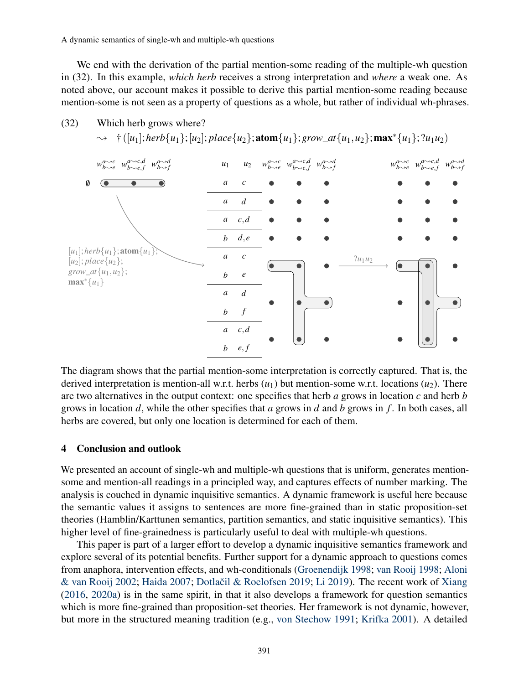(32) Which herb grows where?

We end with the derivation of the partial mention-some reading of the multiple-wh question in (32). In this example, *which herb* receives a strong interpretation and *where* a weak one. As noted above, our account makes it possible to derive this partial mention-some reading because mention-some is not seen as a property of questions as a whole, but rather of individual wh-phrases.



The diagram shows that the partial mention-some interpretation is correctly captured. That is, the derived interpretation is mention-all w.r.t. herbs  $(u_1)$  but mention-some w.r.t. locations  $(u_2)$ . There are two alternatives in the output context: one specifies that herb *a* grows in location *c* and herb *b* grows in location *d*, while the other specifies that *a* grows in *d* and *b* grows in *f* . In both cases, all herbs are covered, but only one location is determined for each of them.

#### 4 Conclusion and outlook

We presented an account of single-wh and multiple-wh questions that is uniform, generates mentionsome and mention-all readings in a principled way, and captures effects of number marking. The analysis is couched in dynamic inquisitive semantics. A dynamic framework is useful here because the semantic values it assigns to sentences are more fine-grained than in static proposition-set theories (Hamblin/Karttunen semantics, partition semantics, and static inquisitive semantics). This higher level of fine-grainedness is particularly useful to deal with multiple-wh questions.

This paper is part of a larger effort to develop a dynamic inquisitive semantics framework and explore several of its potential benefits. Further support for a dynamic approach to questions comes from anaphora, intervention effects, and wh-conditionals [\(Groenendijk](#page-19-18) [1998;](#page-19-18) [van Rooij](#page-20-10) [1998;](#page-20-10) [Aloni](#page-19-19) [& van Rooij](#page-19-19) [2002;](#page-19-19) [Haida](#page-19-20) [2007;](#page-19-20) Dotlačil & Roelofsen [2019;](#page-19-4) [Li](#page-20-2) [2019\)](#page-20-2). The recent work of [Xiang](#page-20-0) [\(2016,](#page-20-0) [2020a\)](#page-20-11) is in the same spirit, in that it also develops a framework for question semantics which is more fine-grained than proposition-set theories. Her framework is not dynamic, however, but more in the structured meaning tradition (e.g., [von Stechow](#page-20-12) [1991;](#page-20-12) [Krifka](#page-19-21) [2001\)](#page-19-21). A detailed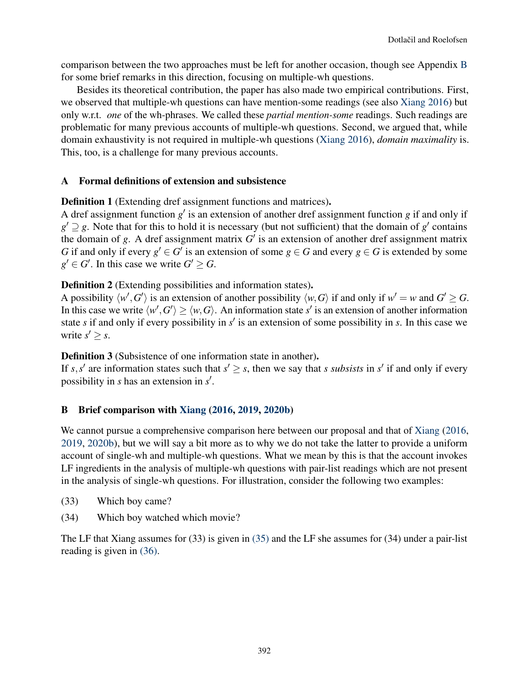comparison between the two approaches must be left for another occasion, though see Appendix [B](#page-17-0) for some brief remarks in this direction, focusing on multiple-wh questions.

Besides its theoretical contribution, the paper has also made two empirical contributions. First, we observed that multiple-wh questions can have mention-some readings (see also [Xiang](#page-20-0) [2016\)](#page-20-0) but only w.r.t. *one* of the wh-phrases. We called these *partial mention-some* readings. Such readings are problematic for many previous accounts of multiple-wh questions. Second, we argued that, while domain exhaustivity is not required in multiple-wh questions [\(Xiang](#page-20-0) [2016\)](#page-20-0), *domain maximality* is. This, too, is a challenge for many previous accounts.

## A Formal definitions of extension and subsistence

Definition 1 (Extending dref assignment functions and matrices).

A dref assignment function  $g'$  is an extension of another dref assignment function  $g$  if and only if  $g' \supseteq g$ . Note that for this to hold it is necessary (but not sufficient) that the domain of  $g'$  contains the domain of  $g$ . A dref assignment matrix  $G'$  is an extension of another dref assignment matrix *G* if and only if every  $g' \in G'$  is an extension of some  $g \in G$  and every  $g \in G$  is extended by some  $g' \in G'$ . In this case we write  $G' \geq G$ .

## Definition 2 (Extending possibilities and information states).

A possibility  $\langle w', G' \rangle$  is an extension of another possibility  $\langle w, G \rangle$  if and only if  $w' = w$  and  $G' \ge G$ . In this case we write  $\langle w', G' \rangle \ge \langle w, G \rangle$ . An information state *s'* is an extension of another information state  $s$  if and only if every possibility in  $s'$  is an extension of some possibility in  $s$ . In this case we write  $s' \geq s$ .

Definition 3 (Subsistence of one information state in another).

If *s*,*s*' are information states such that  $s' \geq s$ , then we say that *s subsists* in *s*' if and only if every possibility in *s* has an extension in *s'*.

### <span id="page-17-0"></span>B Brief comparison with [Xiang](#page-20-0) [\(2016,](#page-20-0) [2019,](#page-20-4) [2020b\)](#page-20-1)

We cannot pursue a comprehensive comparison here between our proposal and that of [Xiang](#page-20-0) [\(2016,](#page-20-0) [2019,](#page-20-4) [2020b\)](#page-20-1), but we will say a bit more as to why we do not take the latter to provide a uniform account of single-wh and multiple-wh questions. What we mean by this is that the account invokes LF ingredients in the analysis of multiple-wh questions with pair-list readings which are not present in the analysis of single-wh questions. For illustration, consider the following two examples:

- (33) Which boy came?
- (34) Which boy watched which movie?

<span id="page-17-1"></span>The LF that Xiang assumes for (33) is given in [\(35\)](#page-17-1) and the LF she assumes for (34) under a pair-list reading is given in [\(36\).](#page-18-0)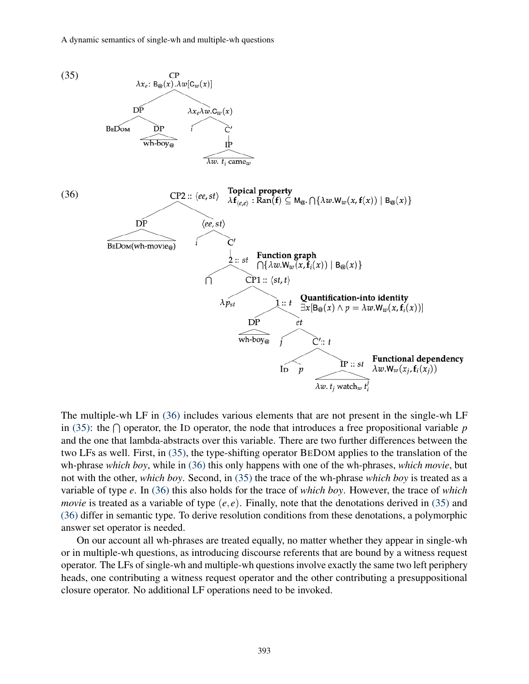<span id="page-18-0"></span>

The multiple-wh LF in [\(36\)](#page-18-0) includes various elements that are not present in the single-wh LF in [\(35\):](#page-17-1) the  $\bigcap$  operator, the ID operator, the node that introduces a free propositional variable p and the one that lambda-abstracts over this variable. There are two further differences between the two LFs as well. First, in [\(35\),](#page-17-1) the type-shifting operator BEDOM applies to the translation of the wh-phrase *which boy*, while in [\(36\)](#page-18-0) this only happens with one of the wh-phrases, *which movie*, but not with the other, *which boy*. Second, in [\(35\)](#page-17-1) the trace of the wh-phrase *which boy* is treated as a variable of type *e*. In [\(36\)](#page-18-0) this also holds for the trace of *which boy*. However, the trace of *which movie* is treated as a variable of type  $(e, e)$ . Finally, note that the denotations derived in [\(35\)](#page-17-1) and [\(36\)](#page-18-0) differ in semantic type. To derive resolution conditions from these denotations, a polymorphic answer set operator is needed.

On our account all wh-phrases are treated equally, no matter whether they appear in single-wh or in multiple-wh questions, as introducing discourse referents that are bound by a witness request operator. The LFs of single-wh and multiple-wh questions involve exactly the same two left periphery heads, one contributing a witness request operator and the other contributing a presuppositional closure operator. No additional LF operations need to be invoked.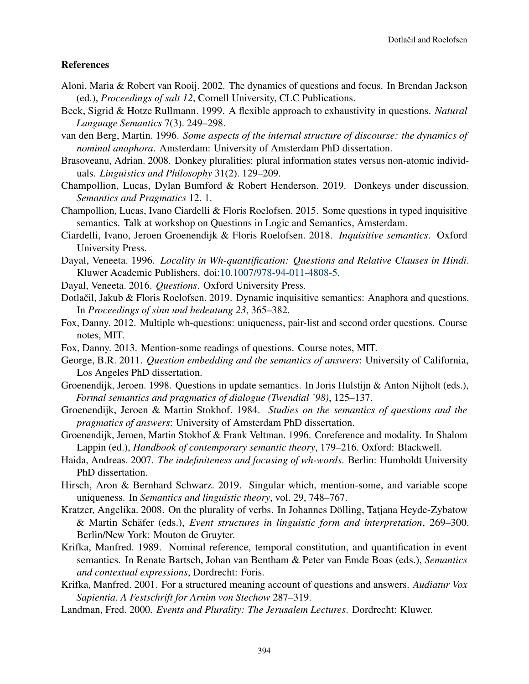#### References

- <span id="page-19-19"></span>Aloni, Maria & Robert van Rooij. 2002. The dynamics of questions and focus. In Brendan Jackson (ed.), *Proceedings of salt 12*, Cornell University, CLC Publications.
- <span id="page-19-10"></span>Beck, Sigrid & Hotze Rullmann. 1999. A flexible approach to exhaustivity in questions. *Natural Language Semantics* 7(3). 249–298.
- <span id="page-19-14"></span>van den Berg, Martin. 1996. *Some aspects of the internal structure of discourse: the dynamics of nominal anaphora*. Amsterdam: University of Amsterdam PhD dissertation.
- <span id="page-19-5"></span>Brasoveanu, Adrian. 2008. Donkey pluralities: plural information states versus non-atomic individuals. *Linguistics and Philosophy* 31(2). 129–209.
- <span id="page-19-8"></span>Champollion, Lucas, Dylan Bumford & Robert Henderson. 2019. Donkeys under discussion. *Semantics and Pragmatics* 12. 1.
- <span id="page-19-12"></span>Champollion, Lucas, Ivano Ciardelli & Floris Roelofsen. 2015. Some questions in typed inquisitive semantics. Talk at workshop on Questions in Logic and Semantics, Amsterdam.
- <span id="page-19-6"></span>Ciardelli, Ivano, Jeroen Groenendijk & Floris Roelofsen. 2018. *Inquisitive semantics*. Oxford University Press.
- <span id="page-19-1"></span>Dayal, Veneeta. 1996. *Locality in Wh-quantification: Questions and Relative Clauses in Hindi*. Kluwer Academic Publishers. doi[:10.1007/978-94-011-4808-5.](https://doi.org/10.1007/978-94-011-4808-5)
- <span id="page-19-9"></span>Dayal, Veneeta. 2016. *Questions*. Oxford University Press.
- <span id="page-19-4"></span>Dotlačil, Jakub & Floris Roelofsen. 2019. Dynamic inquisitive semantics: Anaphora and questions. In *Proceedings of sinn und bedeutung 23*, 365–382.
- <span id="page-19-2"></span>Fox, Danny. 2012. Multiple wh-questions: uniqueness, pair-list and second order questions. Course notes, MIT.
- <span id="page-19-3"></span>Fox, Danny. 2013. Mention-some readings of questions. Course notes, MIT.
- <span id="page-19-11"></span>George, B.R. 2011. *Question embedding and the semantics of answers*: University of California, Los Angeles PhD dissertation.
- <span id="page-19-18"></span>Groenendijk, Jeroen. 1998. Questions in update semantics. In Joris Hulstijn & Anton Nijholt (eds.), *Formal semantics and pragmatics of dialogue (Twendial '98)*, 125–137.
- <span id="page-19-0"></span>Groenendijk, Jeroen & Martin Stokhof. 1984. *Studies on the semantics of questions and the pragmatics of answers*: University of Amsterdam PhD dissertation.
- <span id="page-19-7"></span>Groenendijk, Jeroen, Martin Stokhof & Frank Veltman. 1996. Coreference and modality. In Shalom Lappin (ed.), *Handbook of contemporary semantic theory*, 179–216. Oxford: Blackwell.
- <span id="page-19-20"></span>Haida, Andreas. 2007. *The indefiniteness and focusing of wh-words*. Berlin: Humboldt University PhD dissertation.
- <span id="page-19-13"></span>Hirsch, Aron & Bernhard Schwarz. 2019. Singular which, mention-some, and variable scope uniqueness. In *Semantics and linguistic theory*, vol. 29, 748–767.
- <span id="page-19-17"></span>Kratzer, Angelika. 2008. On the plurality of verbs. In Johannes Dölling, Tatjana Heyde-Zybatow & Martin Schäfer (eds.), *Event structures in linguistic form and interpretation*, 269–300. Berlin/New York: Mouton de Gruyter.
- <span id="page-19-15"></span>Krifka, Manfred. 1989. Nominal reference, temporal constitution, and quantification in event semantics. In Renate Bartsch, Johan van Bentham & Peter van Emde Boas (eds.), *Semantics and contextual expressions*, Dordrecht: Foris.
- <span id="page-19-21"></span>Krifka, Manfred. 2001. For a structured meaning account of questions and answers. *Audiatur Vox Sapientia. A Festschrift for Arnim von Stechow* 287–319.
- <span id="page-19-16"></span>Landman, Fred. 2000. *Events and Plurality: The Jerusalem Lectures*. Dordrecht: Kluwer.